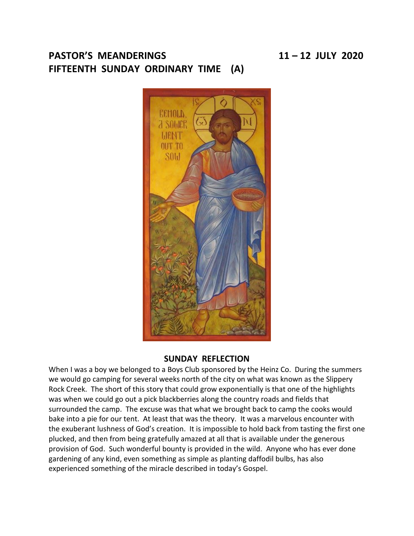# **PASTOR'S MEANDERINGS 11 – 12 JULY 2020 FIFTEENTH SUNDAY ORDINARY TIME (A)**



# **SUNDAY REFLECTION**

When I was a boy we belonged to a Boys Club sponsored by the Heinz Co. During the summers we would go camping for several weeks north of the city on what was known as the Slippery Rock Creek. The short of this story that could grow exponentially is that one of the highlights was when we could go out a pick blackberries along the country roads and fields that surrounded the camp. The excuse was that what we brought back to camp the cooks would bake into a pie for our tent. At least that was the theory. It was a marvelous encounter with the exuberant lushness of God's creation. It is impossible to hold back from tasting the first one plucked, and then from being gratefully amazed at all that is available under the generous provision of God. Such wonderful bounty is provided in the wild. Anyone who has ever done gardening of any kind, even something as simple as planting daffodil bulbs, has also experienced something of the miracle described in today's Gospel.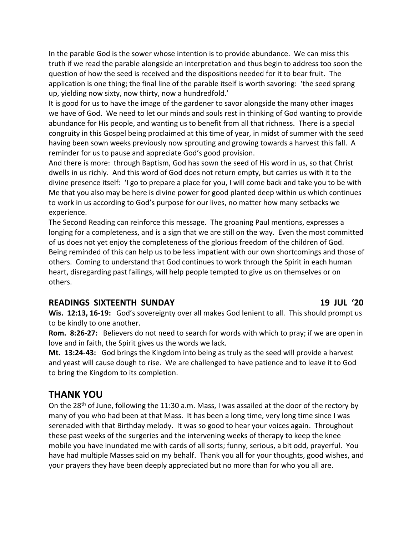In the parable God is the sower whose intention is to provide abundance. We can miss this truth if we read the parable alongside an interpretation and thus begin to address too soon the question of how the seed is received and the dispositions needed for it to bear fruit. The application is one thing; the final line of the parable itself is worth savoring: 'the seed sprang up, yielding now sixty, now thirty, now a hundredfold.'

It is good for us to have the image of the gardener to savor alongside the many other images we have of God. We need to let our minds and souls rest in thinking of God wanting to provide abundance for His people, and wanting us to benefit from all that richness. There is a special congruity in this Gospel being proclaimed at this time of year, in midst of summer with the seed having been sown weeks previously now sprouting and growing towards a harvest this fall. A reminder for us to pause and appreciate God's good provision.

And there is more: through Baptism, God has sown the seed of His word in us, so that Christ dwells in us richly. And this word of God does not return empty, but carries us with it to the divine presence itself: 'I go to prepare a place for you, I will come back and take you to be with Me that you also may be here is divine power for good planted deep within us which continues to work in us according to God's purpose for our lives, no matter how many setbacks we experience.

The Second Reading can reinforce this message. The groaning Paul mentions, expresses a longing for a completeness, and is a sign that we are still on the way. Even the most committed of us does not yet enjoy the completeness of the glorious freedom of the children of God. Being reminded of this can help us to be less impatient with our own shortcomings and those of others. Coming to understand that God continues to work through the Spirit in each human heart, disregarding past failings, will help people tempted to give us on themselves or on others.

## **READINGS SIXTEENTH SUNDAY 19 JUL '20**

**Wis. 12:13, 16-19:** God's sovereignty over all makes God lenient to all. This should prompt us to be kindly to one another.

**Rom. 8:26-27:** Believers do not need to search for words with which to pray; if we are open in love and in faith, the Spirit gives us the words we lack.

**Mt. 13:24-43:** God brings the Kingdom into being as truly as the seed will provide a harvest and yeast will cause dough to rise. We are challenged to have patience and to leave it to God to bring the Kingdom to its completion.

# **THANK YOU**

On the 28th of June, following the 11:30 a.m. Mass, I was assailed at the door of the rectory by many of you who had been at that Mass. It has been a long time, very long time since I was serenaded with that Birthday melody. It was so good to hear your voices again. Throughout these past weeks of the surgeries and the intervening weeks of therapy to keep the knee mobile you have inundated me with cards of all sorts; funny, serious, a bit odd, prayerful. You have had multiple Masses said on my behalf. Thank you all for your thoughts, good wishes, and your prayers they have been deeply appreciated but no more than for who you all are.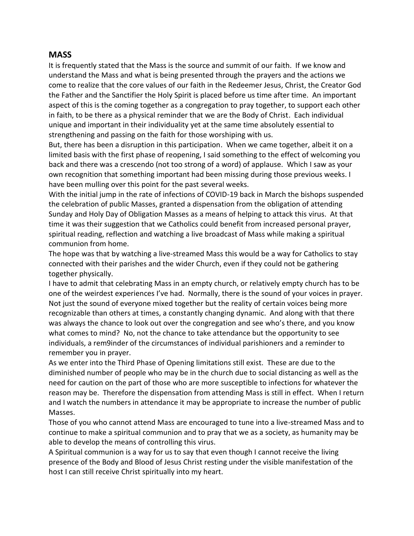# **MASS**

It is frequently stated that the Mass is the source and summit of our faith. If we know and understand the Mass and what is being presented through the prayers and the actions we come to realize that the core values of our faith in the Redeemer Jesus, Christ, the Creator God the Father and the Sanctifier the Holy Spirit is placed before us time after time. An important aspect of this is the coming together as a congregation to pray together, to support each other in faith, to be there as a physical reminder that we are the Body of Christ. Each individual unique and important in their individuality yet at the same time absolutely essential to strengthening and passing on the faith for those worshiping with us.

But, there has been a disruption in this participation. When we came together, albeit it on a limited basis with the first phase of reopening, I said something to the effect of welcoming you back and there was a crescendo (not too strong of a word) of applause. Which I saw as your own recognition that something important had been missing during those previous weeks. I have been mulling over this point for the past several weeks.

With the initial jump in the rate of infections of COVID-19 back in March the bishops suspended the celebration of public Masses, granted a dispensation from the obligation of attending Sunday and Holy Day of Obligation Masses as a means of helping to attack this virus. At that time it was their suggestion that we Catholics could benefit from increased personal prayer, spiritual reading, reflection and watching a live broadcast of Mass while making a spiritual communion from home.

The hope was that by watching a live-streamed Mass this would be a way for Catholics to stay connected with their parishes and the wider Church, even if they could not be gathering together physically.

I have to admit that celebrating Mass in an empty church, or relatively empty church has to be one of the weirdest experiences I've had. Normally, there is the sound of your voices in prayer. Not just the sound of everyone mixed together but the reality of certain voices being more recognizable than others at times, a constantly changing dynamic. And along with that there was always the chance to look out over the congregation and see who's there, and you know what comes to mind? No, not the chance to take attendance but the opportunity to see individuals, a rem9inder of the circumstances of individual parishioners and a reminder to remember you in prayer.

As we enter into the Third Phase of Opening limitations still exist. These are due to the diminished number of people who may be in the church due to social distancing as well as the need for caution on the part of those who are more susceptible to infections for whatever the reason may be. Therefore the dispensation from attending Mass is still in effect. When I return and I watch the numbers in attendance it may be appropriate to increase the number of public Masses.

Those of you who cannot attend Mass are encouraged to tune into a live-streamed Mass and to continue to make a spiritual communion and to pray that we as a society, as humanity may be able to develop the means of controlling this virus.

A Spiritual communion is a way for us to say that even though I cannot receive the living presence of the Body and Blood of Jesus Christ resting under the visible manifestation of the host I can still receive Christ spiritually into my heart.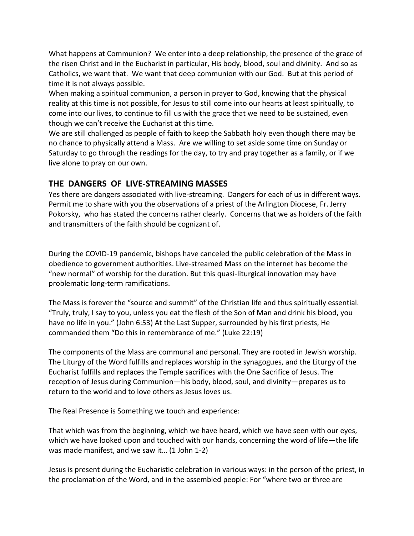What happens at Communion? We enter into a deep relationship, the presence of the grace of the risen Christ and in the Eucharist in particular, His body, blood, soul and divinity. And so as Catholics, we want that. We want that deep communion with our God. But at this period of time it is not always possible.

When making a spiritual communion, a person in prayer to God, knowing that the physical reality at this time is not possible, for Jesus to still come into our hearts at least spiritually, to come into our lives, to continue to fill us with the grace that we need to be sustained, even though we can't receive the Eucharist at this time.

We are still challenged as people of faith to keep the Sabbath holy even though there may be no chance to physically attend a Mass. Are we willing to set aside some time on Sunday or Saturday to go through the readings for the day, to try and pray together as a family, or if we live alone to pray on our own.

# **THE DANGERS OF LIVE-STREAMING MASSES**

Yes there are dangers associated with live-streaming. Dangers for each of us in different ways. Permit me to share with you the observations of a priest of the Arlington Diocese, Fr. Jerry Pokorsky, who has stated the concerns rather clearly. Concerns that we as holders of the faith and transmitters of the faith should be cognizant of.

During the COVID-19 pandemic, bishops have canceled the public celebration of the Mass in obedience to government authorities. Live-streamed Mass on the internet has become the "new normal" of worship for the duration. But this quasi-liturgical innovation may have problematic long-term ramifications.

The Mass is forever the "source and summit" of the Christian life and thus spiritually essential. "Truly, truly, I say to you, unless you eat the flesh of the Son of Man and drink his blood, you have no life in you." (John 6:53) At the Last Supper, surrounded by his first priests, He commanded them "Do this in remembrance of me." (Luke 22:19)

The components of the Mass are communal and personal. They are rooted in Jewish worship. The Liturgy of the Word fulfills and replaces worship in the synagogues, and the Liturgy of the Eucharist fulfills and replaces the Temple sacrifices with the One Sacrifice of Jesus. The reception of Jesus during Communion—his body, blood, soul, and divinity—prepares us to return to the world and to love others as Jesus loves us.

The Real Presence is Something we touch and experience:

That which was from the beginning, which we have heard, which we have seen with our eyes, which we have looked upon and touched with our hands, concerning the word of life—the life was made manifest, and we saw it... (1 John 1-2)

Jesus is present during the Eucharistic celebration in various ways: in the person of the priest, in the proclamation of the Word, and in the assembled people: For "where two or three are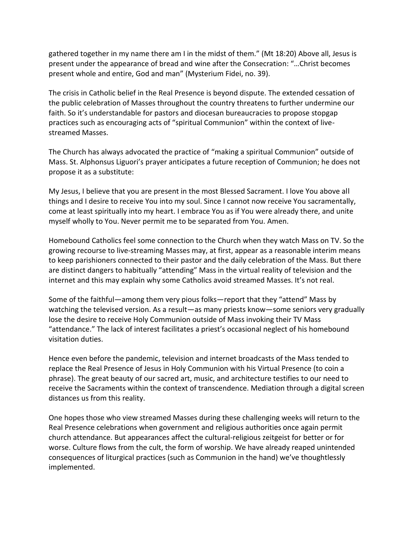gathered together in my name there am I in the midst of them." (Mt 18:20) Above all, Jesus is present under the appearance of bread and wine after the Consecration: "…Christ becomes present whole and entire, God and man" (Mysterium Fidei, no. 39).

The crisis in Catholic belief in the Real Presence is beyond dispute. The extended cessation of the public celebration of Masses throughout the country threatens to further undermine our faith. So it's understandable for pastors and diocesan bureaucracies to propose stopgap practices such as encouraging acts of "spiritual Communion" within the context of livestreamed Masses.

The Church has always advocated the practice of "making a spiritual Communion" outside of Mass. St. Alphonsus Liguori's prayer anticipates a future reception of Communion; he does not propose it as a substitute:

My Jesus, I believe that you are present in the most Blessed Sacrament. I love You above all things and I desire to receive You into my soul. Since I cannot now receive You sacramentally, come at least spiritually into my heart. I embrace You as if You were already there, and unite myself wholly to You. Never permit me to be separated from You. Amen.

Homebound Catholics feel some connection to the Church when they watch Mass on TV. So the growing recourse to live-streaming Masses may, at first, appear as a reasonable interim means to keep parishioners connected to their pastor and the daily celebration of the Mass. But there are distinct dangers to habitually "attending" Mass in the virtual reality of television and the internet and this may explain why some Catholics avoid streamed Masses. It's not real.

Some of the faithful—among them very pious folks—report that they "attend" Mass by watching the televised version. As a result—as many priests know—some seniors very gradually lose the desire to receive Holy Communion outside of Mass invoking their TV Mass "attendance." The lack of interest facilitates a priest's occasional neglect of his homebound visitation duties.

Hence even before the pandemic, television and internet broadcasts of the Mass tended to replace the Real Presence of Jesus in Holy Communion with his Virtual Presence (to coin a phrase). The great beauty of our sacred art, music, and architecture testifies to our need to receive the Sacraments within the context of transcendence. Mediation through a digital screen distances us from this reality.

One hopes those who view streamed Masses during these challenging weeks will return to the Real Presence celebrations when government and religious authorities once again permit church attendance. But appearances affect the cultural-religious zeitgeist for better or for worse. Culture flows from the cult, the form of worship. We have already reaped unintended consequences of liturgical practices (such as Communion in the hand) we've thoughtlessly implemented.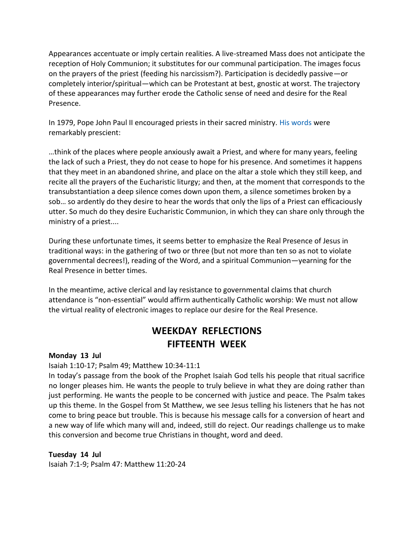Appearances accentuate or imply certain realities. A live-streamed Mass does not anticipate the reception of Holy Communion; it substitutes for our communal participation. The images focus on the prayers of the priest (feeding his narcissism?). Participation is decidedly passive—or completely interior/spiritual—which can be Protestant at best, gnostic at worst. The trajectory of these appearances may further erode the Catholic sense of need and desire for the Real Presence.

In 1979, Pope John Paul II encouraged priests in their sacred ministry. [His words](http://www.vatican.va/content/john-paul-ii/en/letters/1979/documents/hf_jp-ii_let_19790409_sacerdoti-giovedi-santo.html) were remarkably prescient:

…think of the places where people anxiously await a Priest, and where for many years, feeling the lack of such a Priest, they do not cease to hope for his presence. And sometimes it happens that they meet in an abandoned shrine, and place on the altar a stole which they still keep, and recite all the prayers of the Eucharistic liturgy; and then, at the moment that corresponds to the transubstantiation a deep silence comes down upon them, a silence sometimes broken by a sob… so ardently do they desire to hear the words that only the lips of a Priest can efficaciously utter. So much do they desire Eucharistic Communion, in which they can share only through the ministry of a priest....

During these unfortunate times, it seems better to emphasize the Real Presence of Jesus in traditional ways: in the gathering of two or three (but not more than ten so as not to violate governmental decrees!), reading of the Word, and a spiritual Communion—yearning for the Real Presence in better times.

In the meantime, active clerical and lay resistance to governmental claims that church attendance is "non-essential" would affirm authentically Catholic worship: We must not allow the virtual reality of electronic images to replace our desire for the Real Presence.

# **WEEKDAY REFLECTIONS FIFTEENTH WEEK**

#### **Monday 13 Jul**

## Isaiah 1:10-17; Psalm 49; Matthew 10:34-11:1

In today's passage from the book of the Prophet Isaiah God tells his people that ritual sacrifice no longer pleases him. He wants the people to truly believe in what they are doing rather than just performing. He wants the people to be concerned with justice and peace. The Psalm takes up this theme. In the Gospel from St Matthew, we see Jesus telling his listeners that he has not come to bring peace but trouble. This is because his message calls for a conversion of heart and a new way of life which many will and, indeed, still do reject. Our readings challenge us to make this conversion and become true Christians in thought, word and deed.

**Tuesday 14 Jul** 

Isaiah 7:1-9; Psalm 47: Matthew 11:20-24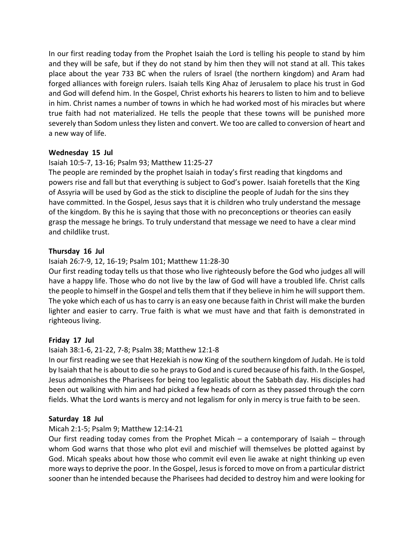In our first reading today from the Prophet Isaiah the Lord is telling his people to stand by him and they will be safe, but if they do not stand by him then they will not stand at all. This takes place about the year 733 BC when the rulers of Israel (the northern kingdom) and Aram had forged alliances with foreign rulers. Isaiah tells King Ahaz of Jerusalem to place his trust in God and God will defend him. In the Gospel, Christ exhorts his hearers to listen to him and to believe in him. Christ names a number of towns in which he had worked most of his miracles but where true faith had not materialized. He tells the people that these towns will be punished more severely than Sodom unless they listen and convert. We too are called to conversion of heart and a new way of life.

## **Wednesday 15 Jul**

## Isaiah 10:5-7, 13-16; Psalm 93; Matthew 11:25-27

The people are reminded by the prophet Isaiah in today's first reading that kingdoms and powers rise and fall but that everything is subject to God's power. Isaiah foretells that the King of Assyria will be used by God as the stick to discipline the people of Judah for the sins they have committed. In the Gospel, Jesus says that it is children who truly understand the message of the kingdom. By this he is saying that those with no preconceptions or theories can easily grasp the message he brings. To truly understand that message we need to have a clear mind and childlike trust.

#### **Thursday 16 Jul**

#### Isaiah 26:7-9, 12, 16-19; Psalm 101; Matthew 11:28-30

Our first reading today tells us that those who live righteously before the God who judges all will have a happy life. Those who do not live by the law of God will have a troubled life. Christ calls the people to himself in the Gospel and tells them that if they believe in him he will support them. The yoke which each of us has to carry is an easy one because faith in Christ will make the burden lighter and easier to carry. True faith is what we must have and that faith is demonstrated in righteous living.

#### **Friday 17 Jul**

## Isaiah 38:1-6, 21-22, 7-8; Psalm 38; Matthew 12:1-8

In our first reading we see that Hezekiah is now King of the southern kingdom of Judah. He is told by Isaiah that he is about to die so he prays to God and is cured because of his faith. In the Gospel, Jesus admonishes the Pharisees for being too legalistic about the Sabbath day. His disciples had been out walking with him and had picked a few heads of corn as they passed through the corn fields. What the Lord wants is mercy and not legalism for only in mercy is true faith to be seen.

#### **Saturday 18 Jul**

#### Micah 2:1-5; Psalm 9; Matthew 12:14-21

Our first reading today comes from the Prophet Micah – a contemporary of Isaiah – through whom God warns that those who plot evil and mischief will themselves be plotted against by God. Micah speaks about how those who commit evil even lie awake at night thinking up even more ways to deprive the poor. In the Gospel, Jesus is forced to move on from a particular district sooner than he intended because the Pharisees had decided to destroy him and were looking for